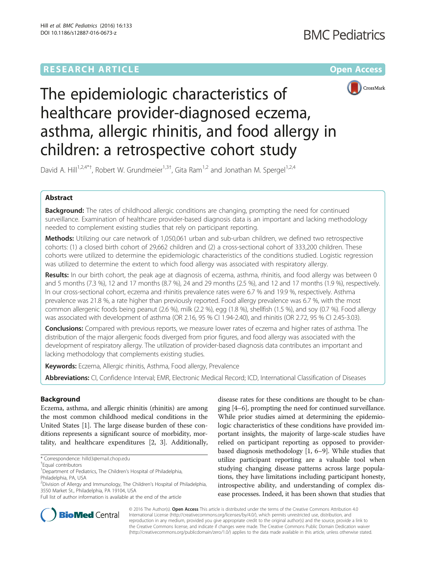# **RESEARCH ARTICLE Example 2014 12:30 The Community Community Community Community Community Community Community**



The epidemiologic characteristics of healthcare provider-diagnosed eczema, asthma, allergic rhinitis, and food allergy in children: a retrospective cohort study

David A. Hill<sup>1,2,4\*†</sup>, Robert W. Grundmeier<sup>1,3†</sup>, Gita Ram<sup>1,2</sup> and Jonathan M. Spergel<sup>1,2,4</sup>

# Abstract

**Background:** The rates of childhood allergic conditions are changing, prompting the need for continued surveillance. Examination of healthcare provider-based diagnosis data is an important and lacking methodology needed to complement existing studies that rely on participant reporting.

Methods: Utilizing our care network of 1,050,061 urban and sub-urban children, we defined two retrospective cohorts: (1) a closed birth cohort of 29,662 children and (2) a cross-sectional cohort of 333,200 children. These cohorts were utilized to determine the epidemiologic characteristics of the conditions studied. Logistic regression was utilized to determine the extent to which food allergy was associated with respiratory allergy.

Results: In our birth cohort, the peak age at diagnosis of eczema, asthma, rhinitis, and food allergy was between 0 and 5 months (7.3 %), 12 and 17 months (8.7 %), 24 and 29 months (2.5 %), and 12 and 17 months (1.9 %), respectively. In our cross-sectional cohort, eczema and rhinitis prevalence rates were 6.7 % and 19.9 %, respectively. Asthma prevalence was 21.8 %, a rate higher than previously reported. Food allergy prevalence was 6.7 %, with the most common allergenic foods being peanut (2.6 %), milk (2.2 %), egg (1.8 %), shellfish (1.5 %), and soy (0.7 %). Food allergy was associated with development of asthma (OR 2.16, 95 % CI 1.94-2.40), and rhinitis (OR 2.72, 95 % CI 2.45-3.03).

**Conclusions:** Compared with previous reports, we measure lower rates of eczema and higher rates of asthma. The distribution of the major allergenic foods diverged from prior figures, and food allergy was associated with the development of respiratory allergy. The utilization of provider-based diagnosis data contributes an important and lacking methodology that complements existing studies.

Keywords: Eczema, Allergic rhinitis, Asthma, Food allergy, Prevalence

Abbreviations: CI, Confidence Interval; EMR, Electronic Medical Record; ICD, International Classification of Diseases

# Background

Eczema, asthma, and allergic rhinitis (rhinitis) are among the most common childhood medical conditions in the United States [[1](#page-6-0)]. The large disease burden of these conditions represents a significant source of morbidity, mortality, and healthcare expenditures [\[2](#page-6-0), [3\]](#page-6-0). Additionally,

disease rates for these conditions are thought to be changing [\[4](#page-6-0)–[6\]](#page-6-0), prompting the need for continued surveillance. While prior studies aimed at determining the epidemiologic characteristics of these conditions have provided important insights, the majority of large-scale studies have relied on participant reporting as opposed to providerbased diagnosis methodology [[1](#page-6-0), [6](#page-6-0)–[9](#page-6-0)]. While studies that utilize participant reporting are a valuable tool when studying changing disease patterns across large populations, they have limitations including participant honesty, introspective ability, and understanding of complex disease processes. Indeed, it has been shown that studies that



© 2016 The Author(s). Open Access This article is distributed under the terms of the Creative Commons Attribution 4.0 International License [\(http://creativecommons.org/licenses/by/4.0/](http://creativecommons.org/licenses/by/4.0/)), which permits unrestricted use, distribution, and reproduction in any medium, provided you give appropriate credit to the original author(s) and the source, provide a link to the Creative Commons license, and indicate if changes were made. The Creative Commons Public Domain Dedication waiver [\(http://creativecommons.org/publicdomain/zero/1.0/](http://creativecommons.org/publicdomain/zero/1.0/)) applies to the data made available in this article, unless otherwise stated.

<sup>\*</sup> Correspondence: [hilld3@email.chop.edu](mailto:hilld3@email.chop.edu) †

Equal contributors

<sup>&</sup>lt;sup>1</sup>Department of Pediatrics, The Children's Hospital of Philadelphia, Philadelphia, PA, USA

<sup>&</sup>lt;sup>2</sup>Division of Allergy and Immunology, The Children's Hospital of Philadelphia, 3550 Market St., Philadelphia, PA 19104, USA

Full list of author information is available at the end of the article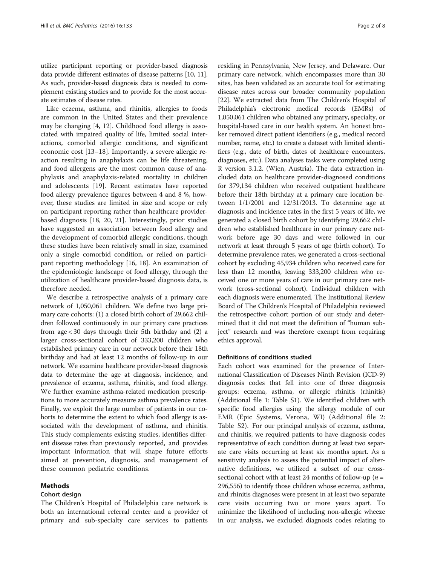utilize participant reporting or provider-based diagnosis data provide different estimates of disease patterns [[10](#page-6-0), [11](#page-6-0)]. As such, provider-based diagnosis data is needed to complement existing studies and to provide for the most accurate estimates of disease rates.

Like eczema, asthma, and rhinitis, allergies to foods are common in the United States and their prevalence may be changing [\[4](#page-6-0), [12\]](#page-6-0). Childhood food allergy is associated with impaired quality of life, limited social interactions, comorbid allergic conditions, and significant economic cost [\[13](#page-6-0)–[18\]](#page-7-0). Importantly, a severe allergic reaction resulting in anaphylaxis can be life threatening, and food allergens are the most common cause of anaphylaxis and anaphylaxis-related mortality in children and adolescents [\[19\]](#page-7-0). Recent estimates have reported food allergy prevalence figures between 4 and 8 %, however, these studies are limited in size and scope or rely on participant reporting rather than healthcare providerbased diagnosis [[18, 20, 21](#page-7-0)]. Interestingly, prior studies have suggested an association between food allergy and the development of comorbid allergic conditions, though these studies have been relatively small in size, examined only a single comorbid condition, or relied on participant reporting methodology [\[16](#page-7-0), [18](#page-7-0)]. An examination of the epidemiologic landscape of food allergy, through the utilization of healthcare provider-based diagnosis data, is therefore needed.

We describe a retrospective analysis of a primary care network of 1,050,061 children. We define two large primary care cohorts: (1) a closed birth cohort of 29,662 children followed continuously in our primary care practices from age < 30 days through their 5th birthday and (2) a larger cross-sectional cohort of 333,200 children who established primary care in our network before their 18th birthday and had at least 12 months of follow-up in our network. We examine healthcare provider-based diagnosis data to determine the age at diagnosis, incidence, and prevalence of eczema, asthma, rhinitis, and food allergy. We further examine asthma-related medication prescriptions to more accurately measure asthma prevalence rates. Finally, we exploit the large number of patients in our cohorts to determine the extent to which food allergy is associated with the development of asthma, and rhinitis. This study complements existing studies, identifies different disease rates than previously reported, and provides important information that will shape future efforts aimed at prevention, diagnosis, and management of these common pediatric conditions.

### Methods

#### Cohort design

The Children's Hospital of Philadelphia care network is both an international referral center and a provider of primary and sub-specialty care services to patients

residing in Pennsylvania, New Jersey, and Delaware. Our primary care network, which encompasses more than 30 sites, has been validated as an accurate tool for estimating disease rates across our broader community population [[22](#page-7-0)]. We extracted data from The Children's Hospital of Philadelphia's electronic medical records (EMRs) of 1,050,061 children who obtained any primary, specialty, or hospital-based care in our health system. An honest broker removed direct patient identifiers (e.g., medical record number, name, etc.) to create a dataset with limited identifiers (e.g., date of birth, dates of healthcare encounters, diagnoses, etc.). Data analyses tasks were completed using R version 3.1.2. (Wien, Austria). The data extraction included data on healthcare provider-diagnosed conditions for 379,134 children who received outpatient healthcare before their 18th birthday at a primary care location between 1/1/2001 and 12/31/2013. To determine age at diagnosis and incidence rates in the first 5 years of life, we generated a closed birth cohort by identifying 29,662 children who established healthcare in our primary care network before age 30 days and were followed in our network at least through 5 years of age (birth cohort). To determine prevalence rates, we generated a cross-sectional cohort by excluding 45,934 children who received care for less than 12 months, leaving 333,200 children who received one or more years of care in our primary care network (cross-sectional cohort). Individual children with each diagnosis were enumerated. The Institutional Review Board of The Children's Hospital of Philadelphia reviewed the retrospective cohort portion of our study and determined that it did not meet the definition of "human subject" research and was therefore exempt from requiring ethics approval.

#### Definitions of conditions studied

Each cohort was examined for the presence of International Classification of Diseases Ninth Revision (ICD-9) diagnosis codes that fell into one of three diagnosis groups: eczema, asthma, or allergic rhinitis (rhinitis) (Additional file [1:](#page-6-0) Table S1). We identified children with specific food allergies using the allergy module of our EMR (Epic Systems, Verona, WI) (Additional file [2](#page-6-0): Table S2). For our principal analysis of eczema, asthma, and rhinitis, we required patients to have diagnosis codes representative of each condition during at least two separate care visits occurring at least six months apart. As a sensitivity analysis to assess the potential impact of alternative definitions, we utilized a subset of our crosssectional cohort with at least 24 months of follow-up ( $n =$ 296,556) to identify those children whose eczema, asthma, and rhinitis diagnoses were present in at least two separate care visits occurring two or more years apart. To minimize the likelihood of including non-allergic wheeze in our analysis, we excluded diagnosis codes relating to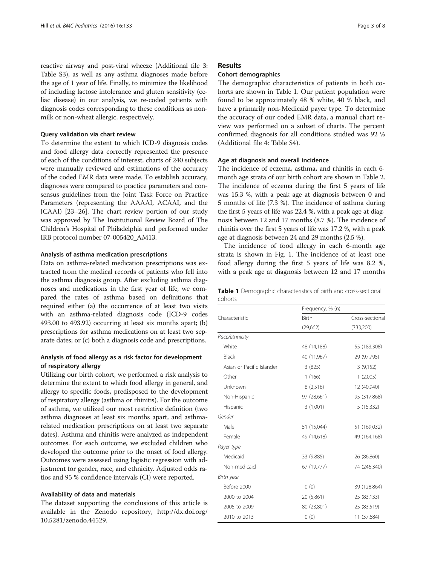reactive airway and post-viral wheeze (Additional file [3](#page-6-0): Table S3), as well as any asthma diagnoses made before the age of 1 year of life. Finally, to minimize the likelihood of including lactose intolerance and gluten sensitivity (celiac disease) in our analysis, we re-coded patients with diagnosis codes corresponding to these conditions as nonmilk or non-wheat allergic, respectively.

### Query validation via chart review

To determine the extent to which ICD-9 diagnosis codes and food allergy data correctly represented the presence of each of the conditions of interest, charts of 240 subjects were manually reviewed and estimations of the accuracy of the coded EMR data were made. To establish accuracy, diagnoses were compared to practice parameters and consensus guidelines from the Joint Task Force on Practice Parameters (representing the AAAAI, ACAAI, and the JCAAI) [\[23](#page-7-0)–[26](#page-7-0)]. The chart review portion of our study was approved by The Institutional Review Board of The Children's Hospital of Philadelphia and performed under IRB protocol number 07-005420\_AM13.

#### Analysis of asthma medication prescriptions

Data on asthma-related medication prescriptions was extracted from the medical records of patients who fell into the asthma diagnosis group. After excluding asthma diagnoses and medications in the first year of life, we compared the rates of asthma based on definitions that required either (a) the occurrence of at least two visits with an asthma-related diagnosis code (ICD-9 codes 493.00 to 493.92) occurring at least six months apart; (b) prescriptions for asthma medications on at least two separate dates; or (c) both a diagnosis code and prescriptions.

# Analysis of food allergy as a risk factor for development of respiratory allergy

Utilizing our birth cohort, we performed a risk analysis to determine the extent to which food allergy in general, and allergy to specific foods, predisposed to the development of respiratory allergy (asthma or rhinitis). For the outcome of asthma, we utilized our most restrictive definition (two asthma diagnoses at least six months apart, and asthmarelated medication prescriptions on at least two separate dates). Asthma and rhinitis were analyzed as independent outcomes. For each outcome, we excluded children who developed the outcome prior to the onset of food allergy. Outcomes were assessed using logistic regression with adjustment for gender, race, and ethnicity. Adjusted odds ratios and 95 % confidence intervals (CI) were reported.

#### Availability of data and materials

The dataset supporting the conclusions of this article is available in the Zenodo repository, [http://dx.doi.org/](http://dx.doi.org/10.5281/zenodo.44529) [10.5281/zenodo.44529](http://dx.doi.org/10.5281/zenodo.44529).

## Results

#### Cohort demographics

The demographic characteristics of patients in both cohorts are shown in Table 1. Our patient population were found to be approximately 48 % white, 40 % black, and have a primarily non-Medicaid payer type. To determine the accuracy of our coded EMR data, a manual chart review was performed on a subset of charts. The percent confirmed diagnosis for all conditions studied was 92 % (Additional file [4](#page-6-0): Table S4).

## Age at diagnosis and overall incidence

The incidence of eczema, asthma, and rhinitis in each 6 month age strata of our birth cohort are shown in Table [2](#page-3-0). The incidence of eczema during the first 5 years of life was 15.3 %, with a peak age at diagnosis between 0 and 5 months of life (7.3 %). The incidence of asthma during the first 5 years of life was 22.4 %, with a peak age at diagnosis between 12 and 17 months (8.7 %). The incidence of rhinitis over the first 5 years of life was 17.2 %, with a peak age at diagnosis between 24 and 29 months (2.5 %).

The incidence of food allergy in each 6-month age strata is shown in Fig. [1](#page-3-0). The incidence of at least one food allergy during the first 5 years of life was 8.2 %, with a peak age at diagnosis between 12 and 17 months

|         |  |  | Table 1 Demographic characteristics of birth and cross-sectional |
|---------|--|--|------------------------------------------------------------------|
| cohorts |  |  |                                                                  |

|                           | Frequency, % (n) |                 |
|---------------------------|------------------|-----------------|
| Characteristic            | <b>Birth</b>     | Cross-sectional |
|                           | (29,662)         | (333,200)       |
| Race/ethnicity            |                  |                 |
| White                     | 48 (14,188)      | 55 (183,308)    |
| <b>Black</b>              | 40 (11,967)      | 29 (97,795)     |
| Asian or Pacific Islander | 3(825)           | 3(9,152)        |
| Other                     | 1(166)           | 1(2,005)        |
| Unknown                   | 8(2,516)         | 12 (40,940)     |
| Non-Hispanic              | 97 (28,661)      | 95 (317,868)    |
| Hispanic                  | 3(1,001)         | 5(15,332)       |
| Gender                    |                  |                 |
| Male                      | 51 (15,044)      | 51 (169,032)    |
| Female                    | 49 (14,618)      | 49 (164,168)    |
| Payer type                |                  |                 |
| Medicaid                  | 33 (9,885)       | 26 (86,860)     |
| Non-medicaid              | 67 (19,777)      | 74 (246,340)    |
| Birth year                |                  |                 |
| Before 2000               | 0(0)             | 39 (128,864)    |
| 2000 to 2004              | 20 (5,861)       | 25 (83,133)     |
| 2005 to 2009              | 80 (23,801)      | 25 (83,519)     |
| 2010 to 2013              | 0(0)             | 11 (37,684)     |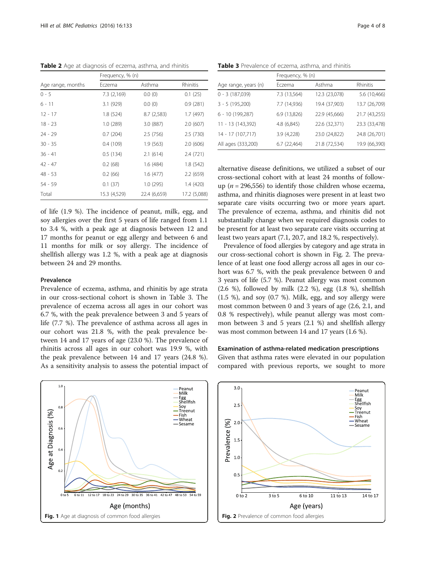<span id="page-3-0"></span>Table 2 Age at diagnosis of eczema, asthma, and rhinitis

|                   | Frequency, % (n) |              |              |  |
|-------------------|------------------|--------------|--------------|--|
| Age range, months | Eczema           | Asthma       | Rhinitis     |  |
| $0 - 5$           | 7.3 (2,169)      | 0.0(0)       | 0.1(25)      |  |
| 6 - 11            | 3.1 (929)        | 0.0(0)       | 0.9(281)     |  |
| $12 - 17$         | 1.8 (524)        | 8.7(2,583)   | 1.7 (497)    |  |
| $18 - 23$         | 1.0(289)         | 3.0 (887)    | 2.0(607)     |  |
| 24 - 29           | 0.7(204)         | 2.5(756)     | 2.5(730)     |  |
| $30 - 35$         | 0.4(109)         | 1.9(563)     | 2.0(606)     |  |
| $36 - 41$         | 0.5(134)         | 2.1(614)     | 2.4(721)     |  |
| $42 - 47$         | 0.2(68)          | 1.6(484)     | 1.8(542)     |  |
| 48 - 53           | 0.2(66)          | 1.6(477)     | 2.2(659)     |  |
| 54 - 59           | 0.1(37)          | 1.0(295)     | 1.4 (420)    |  |
| Total             | 15.3 (4,529)     | 22.4 (6,659) | 17.2 (5,088) |  |

of life (1.9 %). The incidence of peanut, milk, egg, and soy allergies over the first 5 years of life ranged from 1.1 to 3.4 %, with a peak age at diagnosis between 12 and 17 months for peanut or egg allergy and between 6 and 11 months for milk or soy allergy. The incidence of shellfish allergy was 1.2 %, with a peak age at diagnosis between 24 and 29 months.

# Prevalence

Prevalence of eczema, asthma, and rhinitis by age strata in our cross-sectional cohort is shown in Table 3. The prevalence of eczema across all ages in our cohort was 6.7 %, with the peak prevalence between 3 and 5 years of life (7.7 %). The prevalence of asthma across all ages in our cohort was 21.8 %, with the peak prevalence between 14 and 17 years of age (23.0 %). The prevalence of rhinitis across all ages in our cohort was 19.9 %, with the peak prevalence between 14 and 17 years (24.8 %). As a sensitivity analysis to assess the potential impact of



Table 3 Prevalence of eczema, asthma, and rhinitis

|                      | Frequency, % (n) |               |               |  |
|----------------------|------------------|---------------|---------------|--|
| Age range, years (n) | Eczema           | Asthma        | Rhinitis      |  |
| $0 - 3(187,039)$     | 7.3 (13,564)     | 12.3 (23,078) | 5.6 (10,466)  |  |
| $3 - 5(195,200)$     | 7.7 (14,936)     | 19.4 (37,903) | 13.7 (26,709) |  |
| 6 - 10 (199,287)     | 6.9 (13,826)     | 22.9 (45,666) | 21.7 (43,255) |  |
| 11 - 13 (143,392)    | 4.8 (6,845)      | 22.6 (32,371) | 23.3 (33,478) |  |
| 14 - 17 (107,717)    | 3.9 (4,228)      | 23.0 (24,822) | 24.8 (26,701) |  |
| All ages (333,200)   | 6.7 (22,464)     | 21.8 (72,534) | 19.9 (66,390) |  |

alternative disease definitions, we utilized a subset of our cross-sectional cohort with at least 24 months of followup ( $n = 296,556$ ) to identify those children whose eczema, asthma, and rhinitis diagnoses were present in at least two separate care visits occurring two or more years apart. The prevalence of eczema, asthma, and rhinitis did not substantially change when we required diagnosis codes to be present for at least two separate care visits occurring at least two years apart (7.1, 20.7, and 18.2 %, respectively).

Prevalence of food allergies by category and age strata in our cross-sectional cohort is shown in Fig. 2. The prevalence of at least one food allergy across all ages in our cohort was 6.7 %, with the peak prevalence between 0 and 3 years of life (5.7 %). Peanut allergy was most common (2.6 %), followed by milk (2.2 %), egg (1.8 %), shellfish (1.5 %), and soy (0.7 %). Milk, egg, and soy allergy were most common between 0 and 3 years of age (2.6, 2.1, and 0.8 % respectively), while peanut allergy was most common between 3 and 5 years (2.1 %) and shellfish allergy was most common between 14 and 17 years (1.6 %).

### Examination of asthma-related medication prescriptions

Given that asthma rates were elevated in our population compared with previous reports, we sought to more

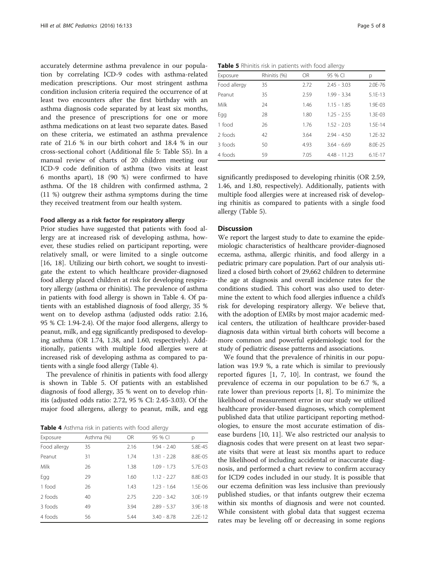accurately determine asthma prevalence in our population by correlating ICD-9 codes with asthma-related medication prescriptions. Our most stringent asthma condition inclusion criteria required the occurrence of at least two encounters after the first birthday with an asthma diagnosis code separated by at least six months, and the presence of prescriptions for one or more asthma medications on at least two separate dates. Based on these criteria, we estimated an asthma prevalence rate of 21.6 % in our birth cohort and 18.4 % in our cross-sectional cohort (Additional file [5:](#page-6-0) Table S5). In a manual review of charts of 20 children meeting our ICD-9 code definition of asthma (two visits at least 6 months apart), 18 (90 %) were confirmed to have asthma. Of the 18 children with confirmed asthma, 2 (11 %) outgrew their asthma symptoms during the time they received treatment from our health system.

#### Food allergy as a risk factor for respiratory allergy

Prior studies have suggested that patients with food allergy are at increased risk of developing asthma, however, these studies relied on participant reporting, were relatively small, or were limited to a single outcome [[16, 18\]](#page-7-0). Utilizing our birth cohort, we sought to investigate the extent to which healthcare provider-diagnosed food allergy placed children at risk for developing respiratory allergy (asthma or rhinitis). The prevalence of asthma in patients with food allergy is shown in Table 4. Of patients with an established diagnosis of food allergy, 35 % went on to develop asthma (adjusted odds ratio: 2.16, 95 % CI: 1.94-2.4). Of the major food allergens, allergy to peanut, milk, and egg significantly predisposed to developing asthma (OR 1.74, 1.38, and 1.60, respectively). Additionally, patients with multiple food allergies were at increased risk of developing asthma as compared to patients with a single food allergy (Table 4).

The prevalence of rhinitis in patients with food allergy is shown in Table 5. Of patients with an established diagnosis of food allergy, 35 % went on to develop rhinitis (adjusted odds ratio: 2.72, 95 % CI: 2.45-3.03). Of the major food allergens, allergy to peanut, milk, and egg

Table 4 Asthma risk in patients with food allergy

|              |            |      | $\tilde{\phantom{a}}$ |           |
|--------------|------------|------|-----------------------|-----------|
| Exposure     | Asthma (%) | OR   | 95 % CI               | р         |
| Food allergy | 35         | 2.16 | $1.94 - 2.40$         | 5.8E-45   |
| Peanut       | 31         | 1.74 | $1.31 - 2.28$         | 8.8F-05   |
| Milk         | 26         | 1.38 | $1.09 - 1.73$         | $5.7F-03$ |
| Egg          | 29         | 1.60 | $1.12 - 2.27$         | 8.8F-03   |
| 1 food       | 26         | 1.43 | $1.23 - 1.64$         | 1.5F-06   |
| 2 foods      | 40         | 2.75 | $2.20 - 3.42$         | 3.0F-19   |
| 3 foods      | 49         | 3.94 | $2.89 - 5.37$         | 3.9F-18   |
| 4 foods      | 56         | 5.44 | $3.40 - 8.78$         | $2.2F-12$ |

Table 5 Rhinitis risk in patients with food allergy

| Exposure     | Rhinitis (%) | OR   | 95 % CI        | р            |
|--------------|--------------|------|----------------|--------------|
| Food allergy | 35           | 2.72 | $2.45 - 3.03$  | $2.0F - 76$  |
| Peanut       | 35           | 2.59 | $1.99 - 3.34$  | $5.1F-13$    |
| Milk         | 24           | 1.46 | $1.15 - 1.85$  | $1.9F - 0.3$ |
| Egg          | 28           | 1.80 | $1.25 - 2.55$  | $1.3F - 0.3$ |
| 1 food       | 26           | 1.76 | $1.52 - 2.03$  | $1.5F-14$    |
| 2 foods      | 42           | 3.64 | $294 - 450$    | $1.2F-32$    |
| 3 foods      | 50           | 4.93 | $3.64 - 6.69$  | 8.0F-25      |
| 4 foods      | 59           | 7.05 | $4.48 - 11.23$ | $6.1F-17$    |

significantly predisposed to developing rhinitis (OR 2.59, 1.46, and 1.80, respectively). Additionally, patients with multiple food allergies were at increased risk of developing rhinitis as compared to patients with a single food allergy (Table 5).

# Discussion

We report the largest study to date to examine the epidemiologic characteristics of healthcare provider-diagnosed eczema, asthma, allergic rhinitis, and food allergy in a pediatric primary care population. Part of our analysis utilized a closed birth cohort of 29,662 children to determine the age at diagnosis and overall incidence rates for the conditions studied. This cohort was also used to determine the extent to which food allergies influence a child's risk for developing respiratory allergy. We believe that, with the adoption of EMRs by most major academic medical centers, the utilization of healthcare provider-based diagnosis data within virtual birth cohorts will become a more common and powerful epidemiologic tool for the study of pediatric disease patterns and associations.

We found that the prevalence of rhinitis in our population was 19.9 %, a rate which is similar to previously reported figures [[1](#page-6-0), [7, 10\]](#page-6-0). In contrast, we found the prevalence of eczema in our population to be 6.7 %, a rate lower than previous reports [\[1, 8](#page-6-0)]. To minimize the likelihood of measurement error in our study we utilized healthcare provider-based diagnoses, which complement published data that utilize participant reporting methodologies, to ensure the most accurate estimation of disease burdens [[10, 11](#page-6-0)]. We also restricted our analysis to diagnosis codes that were present on at least two separate visits that were at least six months apart to reduce the likelihood of including accidental or inaccurate diagnosis, and performed a chart review to confirm accuracy for ICD9 codes included in our study. It is possible that our eczema definition was less inclusive than previously published studies, or that infants outgrew their eczema within six months of diagnosis and were not counted. While consistent with global data that suggest eczema rates may be leveling off or decreasing in some regions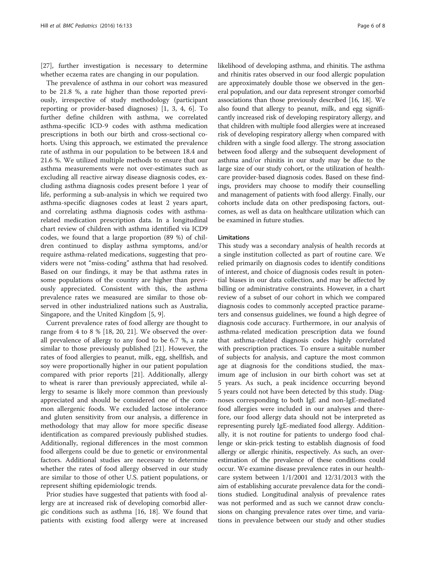[[27\]](#page-7-0), further investigation is necessary to determine whether eczema rates are changing in our population.

The prevalence of asthma in our cohort was measured to be 21.8 %, a rate higher than those reported previously, irrespective of study methodology (participant reporting or provider-based diagnoses) [[1, 3](#page-6-0), [4](#page-6-0), [6\]](#page-6-0). To further define children with asthma, we correlated asthma-specific ICD-9 codes with asthma medication prescriptions in both our birth and cross-sectional cohorts. Using this approach, we estimated the prevalence rate of asthma in our population to be between 18.4 and 21.6 %. We utilized multiple methods to ensure that our asthma measurements were not over-estimates such as excluding all reactive airway disease diagnosis codes, excluding asthma diagnosis codes present before 1 year of life, performing a sub-analysis in which we required two asthma-specific diagnoses codes at least 2 years apart, and correlating asthma diagnosis codes with asthmarelated medication prescription data. In a longitudinal chart review of children with asthma identified via ICD9 codes, we found that a large proportion (89 %) of children continued to display asthma symptoms, and/or require asthma-related medications, suggesting that providers were not "miss-coding" asthma that had resolved. Based on our findings, it may be that asthma rates in some populations of the country are higher than previously appreciated. Consistent with this, the asthma prevalence rates we measured are similar to those observed in other industrialized nations such as Australia, Singapore, and the United Kingdom [[5, 9\]](#page-6-0).

Current prevalence rates of food allergy are thought to range from 4 to 8 % [[18, 20](#page-7-0), [21](#page-7-0)]. We observed the overall prevalence of allergy to any food to be 6.7 %, a rate similar to those previously published [\[21\]](#page-7-0). However, the rates of food allergies to peanut, milk, egg, shellfish, and soy were proportionally higher in our patient population compared with prior reports [[21\]](#page-7-0). Additionally, allergy to wheat is rarer than previously appreciated, while allergy to sesame is likely more common than previously appreciated and should be considered one of the common allergenic foods. We excluded lactose intolerance and gluten sensitivity from our analysis, a difference in methodology that may allow for more specific disease identification as compared previously published studies. Additionally, regional differences in the most common food allergens could be due to genetic or environmental factors. Additional studies are necessary to determine whether the rates of food allergy observed in our study are similar to those of other U.S. patient populations, or represent shifting epidemiologic trends.

Prior studies have suggested that patients with food allergy are at increased risk of developing comorbid allergic conditions such as asthma [\[16, 18](#page-7-0)]. We found that patients with existing food allergy were at increased likelihood of developing asthma, and rhinitis. The asthma and rhinitis rates observed in our food allergic population are approximately double those we observed in the general population, and our data represent stronger comorbid associations than those previously described [[16](#page-7-0), [18\]](#page-7-0). We also found that allergy to peanut, milk, and egg significantly increased risk of developing respiratory allergy, and that children with multiple food allergies were at increased risk of developing respiratory allergy when compared with children with a single food allergy. The strong association between food allergy and the subsequent development of asthma and/or rhinitis in our study may be due to the large size of our study cohort, or the utilization of healthcare provider-based diagnosis codes. Based on these findings, providers may choose to modify their counselling and management of patients with food allergy. Finally, our cohorts include data on other predisposing factors, outcomes, as well as data on healthcare utilization which can be examined in future studies.

## Limitations

This study was a secondary analysis of health records at a single institution collected as part of routine care. We relied primarily on diagnosis codes to identify conditions of interest, and choice of diagnosis codes result in potential biases in our data collection, and may be affected by billing or administrative constraints. However, in a chart review of a subset of our cohort in which we compared diagnosis codes to commonly accepted practice parameters and consensus guidelines, we found a high degree of diagnosis code accuracy. Furthermore, in our analysis of asthma-related medication prescription data we found that asthma-related diagnosis codes highly correlated with prescription practices. To ensure a suitable number of subjects for analysis, and capture the most common age at diagnosis for the conditions studied, the maximum age of inclusion in our birth cohort was set at 5 years. As such, a peak incidence occurring beyond 5 years could not have been detected by this study. Diagnoses corresponding to both IgE and non-IgE-mediated food allergies were included in our analyses and therefore, our food allergy data should not be interpreted as representing purely IgE-mediated food allergy. Additionally, it is not routine for patients to undergo food challenge or skin-prick testing to establish diagnosis of food allergy or allergic rhinitis, respectively. As such, an overestimation of the prevalence of these conditions could occur. We examine disease prevalence rates in our healthcare system between 1/1/2001 and 12/31/2013 with the aim of establishing accurate prevalence data for the conditions studied. Longitudinal analysis of prevalence rates was not performed and as such we cannot draw conclusions on changing prevalence rates over time, and variations in prevalence between our study and other studies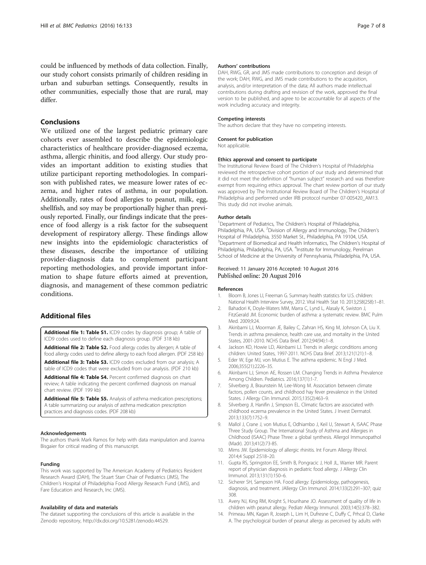<span id="page-6-0"></span>could be influenced by methods of data collection. Finally, our study cohort consists primarily of children residing in urban and suburban settings. Consequently, results in other communities, especially those that are rural, may differ.

# Conclusions

We utilized one of the largest pediatric primary care cohorts ever assembled to describe the epidemiologic characteristics of healthcare provider-diagnosed eczema, asthma, allergic rhinitis, and food allergy. Our study provides an important addition to existing studies that utilize participant reporting methodologies. In comparison with published rates, we measure lower rates of eczema, and higher rates of asthma, in our population. Additionally, rates of food allergies to peanut, milk, egg, shellfish, and soy may be proportionally higher than previously reported. Finally, our findings indicate that the presence of food allergy is a risk factor for the subsequent development of respiratory allergy. These findings allow new insights into the epidemiologic characteristics of these diseases, describe the importance of utilizing provider-diagnosis data to complement participant reporting methodologies, and provide important information to shape future efforts aimed at prevention, diagnosis, and management of these common pediatric conditions.

# Additional files

[Additional file 1: Table S1.](dx.doi.org/10.1186/s12887-016-0673-z) ICD9 codes by diagnosis group; A table of ICD9 codes used to define each diagnosis group. (PDF 318 kb)

[Additional file 2: Table S2.](dx.doi.org/10.1186/s12887-016-0673-z) Food allergy codes by allergen; A table of food allergy codes used to define allergy to each food allergen. (PDF 258 kb)

[Additional file 3: Table S3.](dx.doi.org/10.1186/s12887-016-0673-z) ICD9 codes excluded from our analysis; A table of ICD9 codes that were excluded from our analysis. (PDF 210 kb)

[Additional file 4: Table S4.](dx.doi.org/10.1186/s12887-016-0673-z) Percent confirmed diagnosis on chart review; A table indicating the percent confirmed diagnosis on manual chart review. (PDF 199 kb)

[Additional file 5: Table S5.](dx.doi.org/10.1186/s12887-016-0673-z) Analysis of asthma medication prescriptions; A table summarizing our analysis of asthma medication prescription practices and diagnosis codes. (PDF 208 kb)

#### Acknowledgements

The authors thank Mark Ramos for help with data manipulation and Joanna Bisgaier for critical reading of this manuscript.

#### Funding

This work was supported by The American Academy of Pediatrics Resident Research Award (DAH), The Stuart Starr Chair of Pediatrics (JMS), The Children's Hospital of Philadelphia Food Allergy Research Fund (JMS), and Fare Education and Research, Inc (JMS).

#### Availability of data and materials

The dataset supporting the conclusions of this article is available in the Zenodo repository,<http://dx.doi.org/10.5281/zenodo.44529>.

#### Authors' contributions

DAH, RWG, GR, and JMS made contributions to conception and design of the work; DAH, RWG, and JMS made contributions to the acquisition, analysis, and/or interpretation of the data; All authors made intellectual contributions during drafting and revision of the work, approved the final version to be published, and agree to be accountable for all aspects of the work including accuracy and integrity.

#### Competing interests

The authors declare that they have no competing interests.

# Consent for publication

Not applicable.

### Ethics approval and consent to participate

The Institutional Review Board of The Children's Hospital of Philadelphia reviewed the retrospective cohort portion of our study and determined that it did not meet the definition of "human subject" research and was therefore exempt from requiring ethics approval. The chart review portion of our study was approved by The Institutional Review Board of The Children's Hospital of Philadelphia and performed under IRB protocol number 07-005420 AM13. This study did not involve animals.

#### Author details

<sup>1</sup> Department of Pediatrics, The Children's Hospital of Philadelphia Philadelphia, PA, USA. <sup>2</sup> Division of Allergy and Immunology, The Children's Hospital of Philadelphia, 3550 Market St., Philadelphia, PA 19104, USA. <sup>3</sup>Department of Biomedical and Health Informatics, The Children's Hospital of Philadelphia, Philadelphia, PA, USA. <sup>4</sup>Institute for Immunology, Perelman School of Medicine at the University of Pennsylvania, Philadelphia, PA, USA.

#### Received: 11 January 2016 Accepted: 10 August 2016 Published online: 20 August 2016

#### References

- 1. Bloom B, Jones LI, Freeman G. Summary health statistics for U.S. children: National Health Interview Survey, 2012. Vital Health Stat 10. 2013;258(258):1–81.
- 2. Bahadori K, Doyle-Waters MM, Marra C, Lynd L, Alasaly K, Swiston J, FitzGerald JM. Economic burden of asthma: a systematic review. BMC Pulm Med. 2009;9:24.
- 3. Akinbami LJ, Moorman JE, Bailey C, Zahran HS, King M, Johnson CA, Liu X. Trends in asthma prevalence, health care use, and mortality in the United States, 2001-2010. NCHS Data Brief. 2012;94(94):1–8.
- 4. Jackson KD, Howie LD, Akinbami LJ. Trends in allergic conditions among children: United States, 1997-2011. NCHS Data Brief. 2013;121(121):1–8.
- 5. Eder W, Ege MJ, von Mutius E. The asthma epidemic. N Engl J Med. 2006;355(21):2226–35.
- 6. Akinbami LJ, Simon AE, Rossen LM. Changing Trends in Asthma Prevalence Among Children. Pediatrics. 2016;137(1):1-7.
- 7. Silverberg JI, Braunstein M, Lee-Wong M. Association between climate factors, pollen counts, and childhood hay fever prevalence in the United States. J Allergy Clin Immunol. 2015;135(2):463–9.
- 8. Silverberg JI, Hanifin J, Simpson EL. Climatic factors are associated with childhood eczema prevalence in the United States. J Invest Dermatol. 2013;133(7):1752–9.
- 9. Mallol J, Crane J, von Mutius E, Odhiambo J, Keil U, Stewart A, ISAAC Phase Three Study Group. The International Study of Asthma and Allergies in Childhood (ISAAC) Phase Three: a global synthesis. Allergol Immunopathol (Madr). 2013;41(2):73-85.
- 10. Mims JW. Epidemiology of allergic rhinitis. Int Forum Allergy Rhinol. 2014;4 Suppl 2:S18–20.
- 11. Gupta RS, Springston EE, Smith B, Pongracic J, Holl JL, Warrier MR. Parent report of physician diagnosis in pediatric food allergy. J Allergy Clin Immunol. 2013;131(1):150–6.
- 12. Sicherer SH, Sampson HA. Food allergy: Epidemiology, pathogenesis, diagnosis, and treatment. JAllergy Clin Immunol. 2014;133(2):291–307; quiz 308.
- 13. Avery NJ, King RM, Knight S, Hourihane JO. Assessment of quality of life in children with peanut allergy. Pediatr Allergy Immunol. 2003;14(5):378–382.
- 14. Primeau MN, Kagan R, Joseph L, Lim H, Dufresne C, Duffy C, Prhcal D, Clarke A. The psychological burden of peanut allergy as perceived by adults with